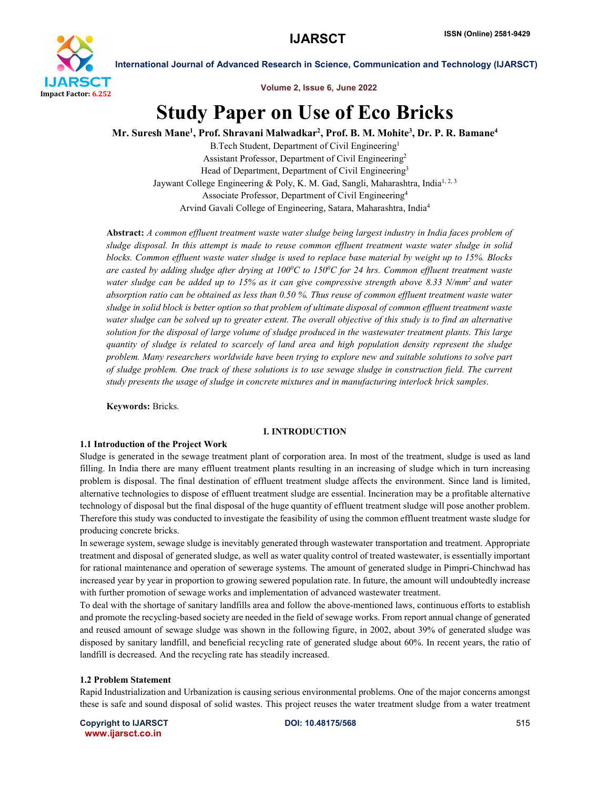

Volume 2, Issue 6, June 2022

# Study Paper on Use of Eco Bricks

Mr. Suresh Mane<sup>1</sup>, Prof. Shravani Malwadkar<sup>2</sup>, Prof. B. M. Mohite<sup>3</sup>, Dr. P. R. Bamane<sup>4</sup>

B.Tech Student, Department of Civil Engineering<sup>1</sup> Assistant Professor, Department of Civil Engineering2 Head of Department, Department of Civil Engineering<sup>3</sup> Jaywant College Engineering & Poly, K. M. Gad, Sangli, Maharashtra, India<sup>1, 2, 3</sup> Associate Professor, Department of Civil Engineering4 Arvind Gavali College of Engineering, Satara, Maharashtra, India4

Abstract: *A common effluent treatment waste water sludge being largest industry in India faces problem of sludge disposal. In this attempt is made to reuse common effluent treatment waste water sludge in solid blocks. Common effluent waste water sludge is used to replace base material by weight up to 15%. Blocks are casted by adding sludge after drying at 1000 C to 1500 C for 24 hrs. Common effluent treatment waste water sludge can be added up to 15% as it can give compressive strength above 8.33 N/mm2 and water absorption ratio can be obtained as less than 0.50 %. Thus reuse of common effluent treatment waste water sludge in solid block is better option so that problem of ultimate disposal of common effluent treatment waste water sludge can be solved up to greater extent. The overall objective of this study is to find an alternative solution for the disposal of large volume of sludge produced in the wastewater treatment plants. This large quantity of sludge is related to scarcely of land area and high population density represent the sludge problem. Many researchers worldwide have been trying to explore new and suitable solutions to solve part of sludge problem. One track of these solutions is to use sewage sludge in construction field. The current study presents the usage of sludge in concrete mixtures and in manufacturing interlock brick samples*.

Keywords: Bricks.

#### I. INTRODUCTION

#### 1.1 Introduction of the Project Work

Sludge is generated in the sewage treatment plant of corporation area. In most of the treatment, sludge is used as land filling. In India there are many effluent treatment plants resulting in an increasing of sludge which in turn increasing problem is disposal. The final destination of effluent treatment sludge affects the environment. Since land is limited, alternative technologies to dispose of effluent treatment sludge are essential. Incineration may be a profitable alternative technology of disposal but the final disposal of the huge quantity of effluent treatment sludge will pose another problem. Therefore this study was conducted to investigate the feasibility of using the common effluent treatment waste sludge for producing concrete bricks.

In sewerage system, sewage sludge is inevitably generated through wastewater transportation and treatment. Appropriate treatment and disposal of generated sludge, as well as water quality control of treated wastewater, is essentially important for rational maintenance and operation of sewerage systems. The amount of generated sludge in Pimpri-Chinchwad has increased year by year in proportion to growing sewered population rate. In future, the amount will undoubtedly increase with further promotion of sewage works and implementation of advanced wastewater treatment.

To deal with the shortage of sanitary landfills area and follow the above-mentioned laws, continuous efforts to establish and promote the recycling-based society are needed in the field of sewage works. From report annual change of generated and reused amount of sewage sludge was shown in the following figure, in 2002, about 39% of generated sludge was disposed by sanitary landfill, and beneficial recycling rate of generated sludge about 60%. In recent years, the ratio of landfill is decreased. And the recycling rate has steadily increased.

#### 1.2 Problem Statement

Rapid Industrialization and Urbanization is causing serious environmental problems. One of the major concerns amongst these is safe and sound disposal of solid wastes. This project reuses the water treatment sludge from a water treatment

Copyright to IJARSCT **DOI: 10.48175/568** 515 www.ijarsct.co.in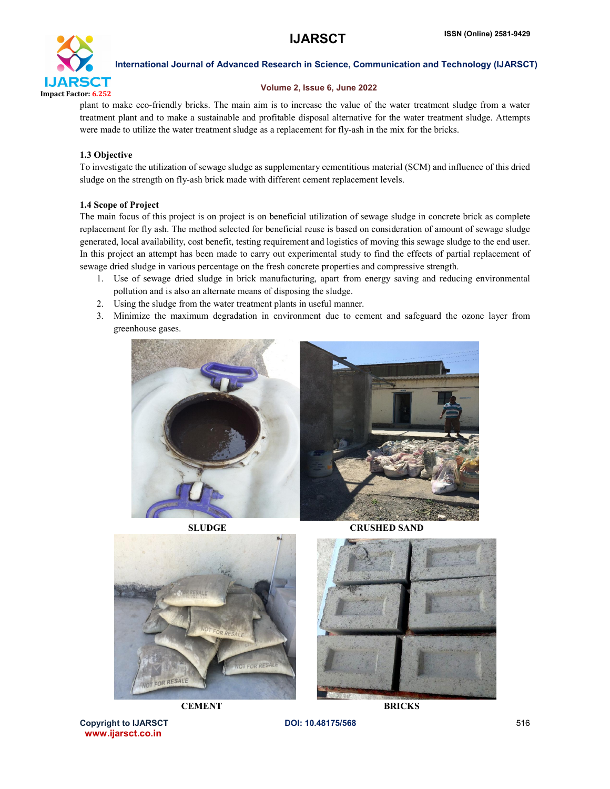

#### Volume 2, Issue 6, June 2022

plant to make eco-friendly bricks. The main aim is to increase the value of the water treatment sludge from a water treatment plant and to make a sustainable and profitable disposal alternative for the water treatment sludge. Attempts were made to utilize the water treatment sludge as a replacement for fly-ash in the mix for the bricks.

#### 1.3 Objective

To investigate the utilization of sewage sludge as supplementary cementitious material (SCM) and influence of this dried sludge on the strength on fly-ash brick made with different cement replacement levels.

#### 1.4 Scope of Project

The main focus of this project is on project is on beneficial utilization of sewage sludge in concrete brick as complete replacement for fly ash. The method selected for beneficial reuse is based on consideration of amount of sewage sludge generated, local availability, cost benefit, testing requirement and logistics of moving this sewage sludge to the end user. In this project an attempt has been made to carry out experimental study to find the effects of partial replacement of sewage dried sludge in various percentage on the fresh concrete properties and compressive strength.

- 1. Use of sewage dried sludge in brick manufacturing, apart from energy saving and reducing environmental pollution and is also an alternate means of disposing the sludge.
- 2. Using the sludge from the water treatment plants in useful manner.
- 3. Minimize the maximum degradation in environment due to cement and safeguard the ozone layer from greenhouse gases.



SLUDGE CRUSHED SAND





CRAI

Copyright to IJARSCT **DOI: 10.48175/568** 516 www.ijarsct.co.in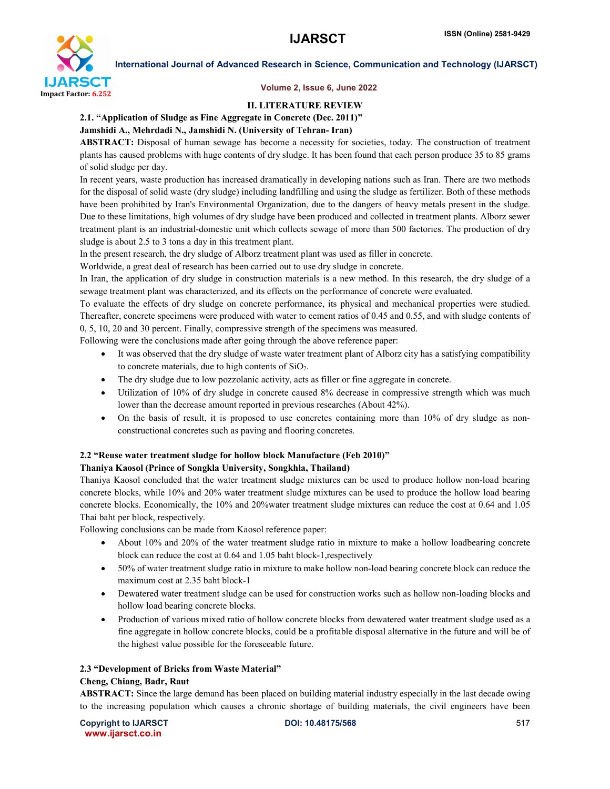

#### Volume 2, Issue 6, June 2022

#### II. LITERATURE REVIEW

### 2.1. "Application of Sludge as Fine Aggregate in Concrete (Dec. 2011)"

#### Jamshidi A., Mehrdadi N., Jamshidi N. (University of Tehran- Iran)

ABSTRACT: Disposal of human sewage has become a necessity for societies, today. The construction of treatment plants has caused problems with huge contents of dry sludge. It has been found that each person produce 35 to 85 grams of solid sludge per day.

In recent years, waste production has increased dramatically in developing nations such as Iran. There are two methods for the disposal of solid waste (dry sludge) including landfilling and using the sludge as fertilizer. Both of these methods have been prohibited by Iran's Environmental Organization, due to the dangers of heavy metals present in the sludge. Due to these limitations, high volumes of dry sludge have been produced and collected in treatment plants. Alborz sewer treatment plant is an industrial-domestic unit which collects sewage of more than 500 factories. The production of dry sludge is about 2.5 to 3 tons a day in this treatment plant.

In the present research, the dry sludge of Alborz treatment plant was used as filler in concrete.

Worldwide, a great deal of research has been carried out to use dry sludge in concrete.

In Iran, the application of dry sludge in construction materials is a new method. In this research, the dry sludge of a sewage treatment plant was characterized, and its effects on the performance of concrete were evaluated.

To evaluate the effects of dry sludge on concrete performance, its physical and mechanical properties were studied. Thereafter, concrete specimens were produced with water to cement ratios of 0.45 and 0.55, and with sludge contents of 0, 5, 10, 20 and 30 percent. Finally, compressive strength of the specimens was measured.

Following were the conclusions made after going through the above reference paper:

- It was observed that the dry sludge of waste water treatment plant of Alborz city has a satisfying compatibility to concrete materials, due to high contents of SiO2.
- The dry sludge due to low pozzolanic activity, acts as filler or fine aggregate in concrete.
- Utilization of 10% of dry sludge in concrete caused 8% decrease in compressive strength which was much lower than the decrease amount reported in previous researches (About 42%).
- On the basis of result, it is proposed to use concretes containing more than 10% of dry sludge as nonconstructional concretes such as paving and flooring concretes.

# 2.2 "Reuse water treatment sludge for hollow block Manufacture (Feb 2010)"

#### Thaniya Kaosol (Prince of Songkla University, Songkhla, Thailand)

Thaniya Kaosol concluded that the water treatment sludge mixtures can be used to produce hollow non-load bearing concrete blocks, while 10% and 20% water treatment sludge mixtures can be used to produce the hollow load bearing concrete blocks. Economically, the 10% and 20%water treatment sludge mixtures can reduce the cost at 0.64 and 1.05 Thai baht per block, respectively.

Following conclusions can be made from Kaosol reference paper:

- About 10% and 20% of the water treatment sludge ratio in mixture to make a hollow loadbearing concrete block can reduce the cost at 0.64 and 1.05 baht block-1,respectively
- 50% of water treatment sludge ratio in mixture to make hollow non-load bearing concrete block can reduce the maximum cost at 2.35 baht block-1
- Dewatered water treatment sludge can be used for construction works such as hollow non-loading blocks and hollow load bearing concrete blocks.
- Production of various mixed ratio of hollow concrete blocks from dewatered water treatment sludge used as a fine aggregate in hollow concrete blocks, could be a profitable disposal alternative in the future and will be of the highest value possible for the foreseeable future.

# 2.3 "Development of Bricks from Waste Material"

#### Cheng, Chiang, Badr, Raut

ABSTRACT: Since the large demand has been placed on building material industry especially in the last decade owing to the increasing population which causes a chronic shortage of building materials, the civil engineers have been

Copyright to IJARSCT **DOI: 10.48175/568** 517 www.ijarsct.co.in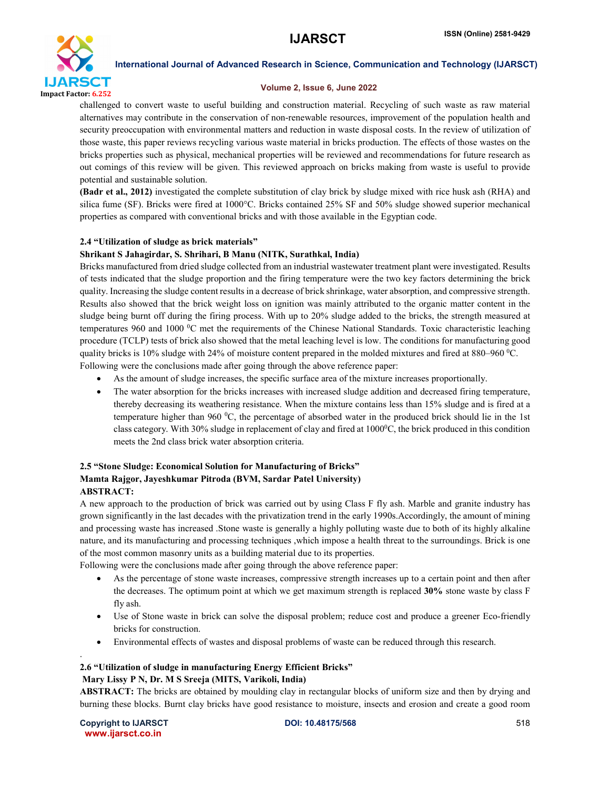

#### Volume 2, Issue 6, June 2022

challenged to convert waste to useful building and construction material. Recycling of such waste as raw material alternatives may contribute in the conservation of non-renewable resources, improvement of the population health and security preoccupation with environmental matters and reduction in waste disposal costs. In the review of utilization of those waste, this paper reviews recycling various waste material in bricks production. The effects of those wastes on the bricks properties such as physical, mechanical properties will be reviewed and recommendations for future research as out comings of this review will be given. This reviewed approach on bricks making from waste is useful to provide potential and sustainable solution.

(Badr et al., 2012) investigated the complete substitution of clay brick by sludge mixed with rice husk ash (RHA) and silica fume (SF). Bricks were fired at 1000°C. Bricks contained 25% SF and 50% sludge showed superior mechanical properties as compared with conventional bricks and with those available in the Egyptian code.

#### 2.4 "Utilization of sludge as brick materials"

#### Shrikant S Jahagirdar, S. Shrihari, B Manu (NITK, Surathkal, India)

Bricks manufactured from dried sludge collected from an industrial wastewater treatment plant were investigated. Results of tests indicated that the sludge proportion and the firing temperature were the two key factors determining the brick quality. Increasing the sludge content results in a decrease of brick shrinkage, water absorption, and compressive strength. Results also showed that the brick weight loss on ignition was mainly attributed to the organic matter content in the sludge being burnt off during the firing process. With up to 20% sludge added to the bricks, the strength measured at temperatures 960 and 1000 °C met the requirements of the Chinese National Standards. Toxic characteristic leaching procedure (TCLP) tests of brick also showed that the metal leaching level is low. The conditions for manufacturing good quality bricks is 10% sludge with 24% of moisture content prepared in the molded mixtures and fired at 880–960  $\rm{^0C}$ . Following were the conclusions made after going through the above reference paper:

- As the amount of sludge increases, the specific surface area of the mixture increases proportionally.
- The water absorption for the bricks increases with increased sludge addition and decreased firing temperature, thereby decreasing its weathering resistance. When the mixture contains less than 15% sludge and is fired at a temperature higher than 960 $\degree$ C, the percentage of absorbed water in the produced brick should lie in the 1st class category. With 30% sludge in replacement of clay and fired at  $1000^{\circ}$ C, the brick produced in this condition meets the 2nd class brick water absorption criteria.

#### 2.5 "Stone Sludge: Economical Solution for Manufacturing of Bricks" Mamta Rajgor, Jayeshkumar Pitroda (BVM, Sardar Patel University) ABSTRACT:

A new approach to the production of brick was carried out by using Class F fly ash. Marble and granite industry has grown significantly in the last decades with the privatization trend in the early 1990s.Accordingly, the amount of mining and processing waste has increased .Stone waste is generally a highly polluting waste due to both of its highly alkaline nature, and its manufacturing and processing techniques ,which impose a health threat to the surroundings. Brick is one of the most common masonry units as a building material due to its properties.

Following were the conclusions made after going through the above reference paper:

- As the percentage of stone waste increases, compressive strength increases up to a certain point and then after the decreases. The optimum point at which we get maximum strength is replaced 30% stone waste by class F fly ash.
- Use of Stone waste in brick can solve the disposal problem; reduce cost and produce a greener Eco-friendly bricks for construction.
- Environmental effects of wastes and disposal problems of waste can be reduced through this research.

#### 2.6 "Utilization of sludge in manufacturing Energy Efficient Bricks"

#### Mary Lissy P N, Dr. M S Sreeja (MITS, Varikoli, India)

ABSTRACT: The bricks are obtained by moulding clay in rectangular blocks of uniform size and then by drying and burning these blocks. Burnt clay bricks have good resistance to moisture, insects and erosion and create a good room

Copyright to IJARSCT **DOI: 10.48175/568** 518 www.ijarsct.co.in

.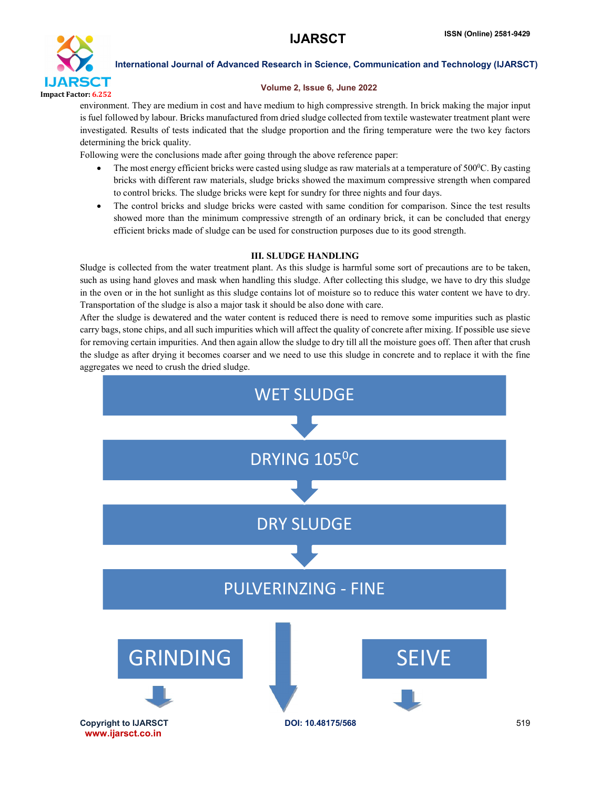

#### Volume 2, Issue 6, June 2022

environment. They are medium in cost and have medium to high compressive strength. In brick making the major input is fuel followed by labour. Bricks manufactured from dried sludge collected from textile wastewater treatment plant were investigated. Results of tests indicated that the sludge proportion and the firing temperature were the two key factors determining the brick quality.

Following were the conclusions made after going through the above reference paper:

- The most energy efficient bricks were casted using sludge as raw materials at a temperature of  $500\textdegree C$ . By casting bricks with different raw materials, sludge bricks showed the maximum compressive strength when compared to control bricks. The sludge bricks were kept for sundry for three nights and four days.
- The control bricks and sludge bricks were casted with same condition for comparison. Since the test results showed more than the minimum compressive strength of an ordinary brick, it can be concluded that energy efficient bricks made of sludge can be used for construction purposes due to its good strength.

### III. SLUDGE HANDLING

Sludge is collected from the water treatment plant. As this sludge is harmful some sort of precautions are to be taken, such as using hand gloves and mask when handling this sludge. After collecting this sludge, we have to dry this sludge in the oven or in the hot sunlight as this sludge contains lot of moisture so to reduce this water content we have to dry. Transportation of the sludge is also a major task it should be also done with care.

After the sludge is dewatered and the water content is reduced there is need to remove some impurities such as plastic carry bags, stone chips, and all such impurities which will affect the quality of concrete after mixing. If possible use sieve for removing certain impurities. And then again allow the sludge to dry till all the moisture goes off. Then after that crush the sludge as after drying it becomes coarser and we need to use this sludge in concrete and to replace it with the fine aggregates we need to crush the dried sludge.

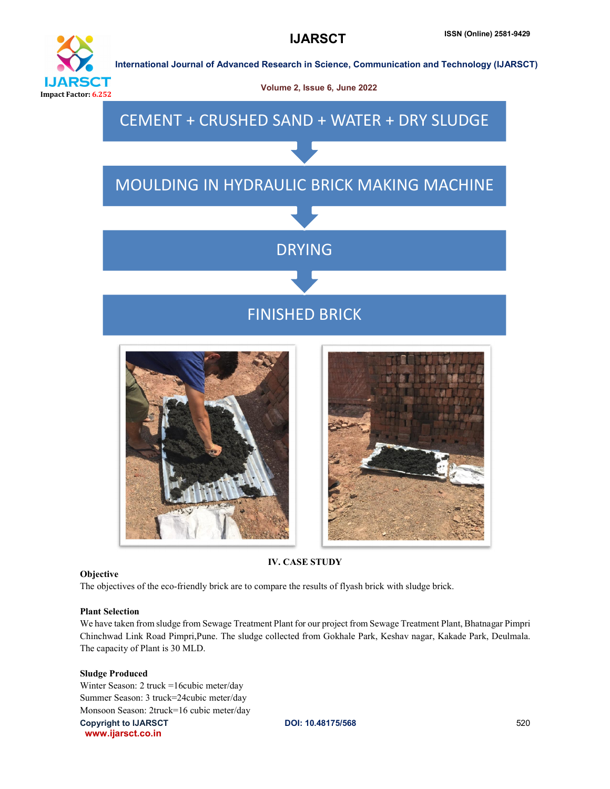





IV. CASE STUDY

#### **Objective**

The objectives of the eco-friendly brick are to compare the results of flyash brick with sludge brick.

#### Plant Selection

We have taken from sludge from Sewage Treatment Plant for our project from Sewage Treatment Plant, Bhatnagar Pimpri Chinchwad Link Road Pimpri,Pune. The sludge collected from Gokhale Park, Keshav nagar, Kakade Park, Deulmala. The capacity of Plant is 30 MLD.

#### Sludge Produced

Copyright to IJARSCT **DOI: 10.48175/568** 520 www.ijarsct.co.in Winter Season: 2 truck =16cubic meter/day Summer Season: 3 truck=24cubic meter/day Monsoon Season: 2truck=16 cubic meter/day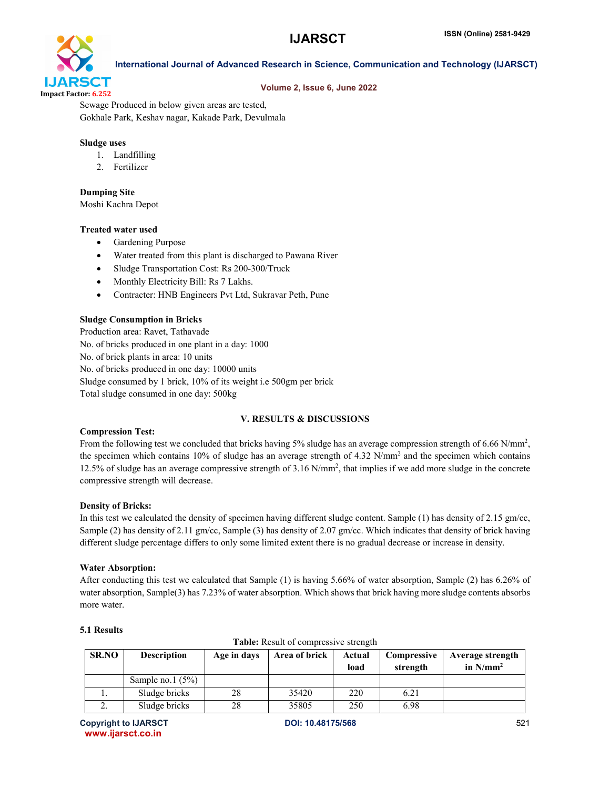

#### Volume 2, Issue 6, June 2022

International Journal of Advanced Research in Science, Communication and Technology (IJARSCT)

Sewage Produced in below given areas are tested, Gokhale Park, Keshav nagar, Kakade Park, Devulmala

#### Sludge uses

- 1. Landfilling
- 2. Fertilizer

#### Dumping Site

Moshi Kachra Depot

#### Treated water used

- Gardening Purpose
- Water treated from this plant is discharged to Pawana River
- Sludge Transportation Cost: Rs 200-300/Truck
- Monthly Electricity Bill: Rs 7 Lakhs.
- Contracter: HNB Engineers Pvt Ltd, Sukravar Peth, Pune

#### Sludge Consumption in Bricks

Production area: Ravet, Tathavade No. of bricks produced in one plant in a day: 1000 No. of brick plants in area: 10 units No. of bricks produced in one day: 10000 units Sludge consumed by 1 brick, 10% of its weight i.e 500gm per brick Total sludge consumed in one day: 500kg

#### V. RESULTS & DISCUSSIONS

#### Compression Test:

From the following test we concluded that bricks having 5% sludge has an average compression strength of 6.66 N/mm<sup>2</sup>, the specimen which contains 10% of sludge has an average strength of 4.32 N/mm<sup>2</sup> and the specimen which contains 12.5% of sludge has an average compressive strength of 3.16 N/mm2 , that implies if we add more sludge in the concrete compressive strength will decrease.

#### Density of Bricks:

In this test we calculated the density of specimen having different sludge content. Sample (1) has density of 2.15 gm/cc, Sample (2) has density of 2.11 gm/cc, Sample (3) has density of 2.07 gm/cc. Which indicates that density of brick having different sludge percentage differs to only some limited extent there is no gradual decrease or increase in density.

#### Water Absorption:

After conducting this test we calculated that Sample (1) is having 5.66% of water absorption, Sample (2) has 6.26% of water absorption, Sample(3) has 7.23% of water absorption. Which shows that brick having more sludge contents absorbs more water.

| <b>Table.</b> Result of compressive such gui |                    |             |               |                |                         |                                 |  |  |
|----------------------------------------------|--------------------|-------------|---------------|----------------|-------------------------|---------------------------------|--|--|
| <b>SR.NO</b>                                 | <b>Description</b> | Age in days | Area of brick | Actual<br>load | Compressive<br>strength | Average strength<br>in $N/mm^2$ |  |  |
|                                              | Sample no.1 $(5%)$ |             |               |                |                         |                                 |  |  |
|                                              | Sludge bricks      | 28          | 35420         | 220            | 6.21                    |                                 |  |  |
|                                              | Sludge bricks      | 28          | 35805         | 250            | 6.98                    |                                 |  |  |

Table: Result of compressive strength

#### 5.1 Results

Copyright to IJARSCT **DOI: 10.48175/568** 521 www.ijarsct.co.in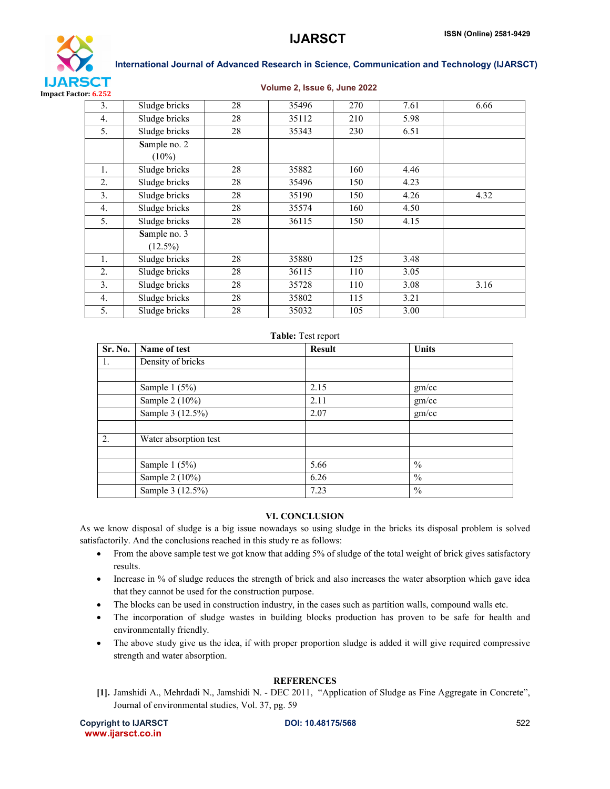

#### Volume 2, Issue 6, June 2022

| 3.               | Sludge bricks | 28 | 35496 | 270 | 7.61 | 6.66 |
|------------------|---------------|----|-------|-----|------|------|
| 4.               | Sludge bricks | 28 | 35112 | 210 | 5.98 |      |
| 5.               | Sludge bricks | 28 | 35343 | 230 | 6.51 |      |
|                  | Sample no. 2  |    |       |     |      |      |
|                  | $(10\%)$      |    |       |     |      |      |
| 1.               | Sludge bricks | 28 | 35882 | 160 | 4.46 |      |
| 2.               | Sludge bricks | 28 | 35496 | 150 | 4.23 |      |
| 3.               | Sludge bricks | 28 | 35190 | 150 | 4.26 | 4.32 |
| $\overline{4}$ . | Sludge bricks | 28 | 35574 | 160 | 4.50 |      |
| 5.               | Sludge bricks | 28 | 36115 | 150 | 4.15 |      |
|                  | Sample no. 3  |    |       |     |      |      |
|                  | $(12.5\%)$    |    |       |     |      |      |
| 1.               | Sludge bricks | 28 | 35880 | 125 | 3.48 |      |
| 2.               | Sludge bricks | 28 | 36115 | 110 | 3.05 |      |
| 3.               | Sludge bricks | 28 | 35728 | 110 | 3.08 | 3.16 |
| $\overline{4}$ . | Sludge bricks | 28 | 35802 | 115 | 3.21 |      |
| 5.               | Sludge bricks | 28 | 35032 | 105 | 3.00 |      |

#### Table: Test report

| Sr. No.          | Name of test          | <b>Result</b> | <b>Units</b>  |
|------------------|-----------------------|---------------|---------------|
| 1.               | Density of bricks     |               |               |
|                  |                       |               |               |
|                  | Sample $1(5%)$        | 2.15          | gm/cc         |
|                  | Sample 2 (10%)        | 2.11          | gm/cc         |
|                  | Sample 3 (12.5%)      | 2.07          | gm/cc         |
|                  |                       |               |               |
| $\overline{2}$ . | Water absorption test |               |               |
|                  |                       |               |               |
|                  | Sample $1(5%)$        | 5.66          | $\%$          |
|                  | Sample 2 (10%)        | 6.26          | $\frac{0}{0}$ |
|                  | Sample 3 (12.5%)      | 7.23          | $\%$          |

#### VI. CONCLUSION

As we know disposal of sludge is a big issue nowadays so using sludge in the bricks its disposal problem is solved satisfactorily. And the conclusions reached in this study re as follows:

- From the above sample test we got know that adding 5% of sludge of the total weight of brick gives satisfactory results.
- Increase in % of sludge reduces the strength of brick and also increases the water absorption which gave idea that they cannot be used for the construction purpose.
- The blocks can be used in construction industry, in the cases such as partition walls, compound walls etc.
- The incorporation of sludge wastes in building blocks production has proven to be safe for health and environmentally friendly.
- The above study give us the idea, if with proper proportion sludge is added it will give required compressive strength and water absorption.

#### **REFERENCES**

[1]. Jamshidi A., Mehrdadi N., Jamshidi N. - DEC 2011, "Application of Sludge as Fine Aggregate in Concrete", Journal of environmental studies, Vol. 37, pg. 59

Copyright to IJARSCT **DOI: 10.48175/568** 522 www.ijarsct.co.in